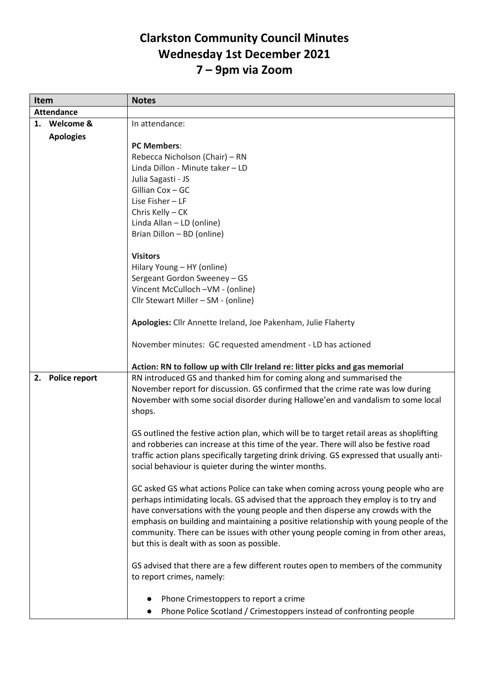## **Clarkston Community Council Minutes Wednesday 1st December 2021 7 – 9pm via Zoom**

| Item                       | <b>Notes</b>                                                                                                                                                                                                                                                                                                                                                                                                                                                                            |
|----------------------------|-----------------------------------------------------------------------------------------------------------------------------------------------------------------------------------------------------------------------------------------------------------------------------------------------------------------------------------------------------------------------------------------------------------------------------------------------------------------------------------------|
| <b>Attendance</b>          |                                                                                                                                                                                                                                                                                                                                                                                                                                                                                         |
| Welcome &<br>1.            | In attendance:                                                                                                                                                                                                                                                                                                                                                                                                                                                                          |
| <b>Apologies</b>           |                                                                                                                                                                                                                                                                                                                                                                                                                                                                                         |
|                            | <b>PC Members:</b>                                                                                                                                                                                                                                                                                                                                                                                                                                                                      |
|                            | Rebecca Nicholson (Chair) – RN                                                                                                                                                                                                                                                                                                                                                                                                                                                          |
|                            | Linda Dillon - Minute taker - LD                                                                                                                                                                                                                                                                                                                                                                                                                                                        |
|                            | Julia Sagasti - JS                                                                                                                                                                                                                                                                                                                                                                                                                                                                      |
|                            | Gillian Cox - GC                                                                                                                                                                                                                                                                                                                                                                                                                                                                        |
|                            | Lise Fisher - LF                                                                                                                                                                                                                                                                                                                                                                                                                                                                        |
|                            | Chris Kelly - CK                                                                                                                                                                                                                                                                                                                                                                                                                                                                        |
|                            | Linda Allan - LD (online)                                                                                                                                                                                                                                                                                                                                                                                                                                                               |
|                            | Brian Dillon - BD (online)                                                                                                                                                                                                                                                                                                                                                                                                                                                              |
|                            | <b>Visitors</b>                                                                                                                                                                                                                                                                                                                                                                                                                                                                         |
|                            | Hilary Young - HY (online)                                                                                                                                                                                                                                                                                                                                                                                                                                                              |
|                            | Sergeant Gordon Sweeney - GS                                                                                                                                                                                                                                                                                                                                                                                                                                                            |
|                            | Vincent McCulloch -VM - (online)                                                                                                                                                                                                                                                                                                                                                                                                                                                        |
|                            | Cllr Stewart Miller - SM - (online)                                                                                                                                                                                                                                                                                                                                                                                                                                                     |
|                            | Apologies: Cllr Annette Ireland, Joe Pakenham, Julie Flaherty                                                                                                                                                                                                                                                                                                                                                                                                                           |
|                            | November minutes: GC requested amendment - LD has actioned                                                                                                                                                                                                                                                                                                                                                                                                                              |
|                            | Action: RN to follow up with Cllr Ireland re: litter picks and gas memorial                                                                                                                                                                                                                                                                                                                                                                                                             |
| <b>Police report</b><br>2. | RN introduced GS and thanked him for coming along and summarised the<br>November report for discussion. GS confirmed that the crime rate was low during<br>November with some social disorder during Hallowe'en and vandalism to some local<br>shops.                                                                                                                                                                                                                                   |
|                            | GS outlined the festive action plan, which will be to target retail areas as shoplifting<br>and robberies can increase at this time of the year. There will also be festive road<br>traffic action plans specifically targeting drink driving. GS expressed that usually anti-<br>social behaviour is quieter during the winter months.                                                                                                                                                 |
|                            | GC asked GS what actions Police can take when coming across young people who are<br>perhaps intimidating locals. GS advised that the approach they employ is to try and<br>have conversations with the young people and then disperse any crowds with the<br>emphasis on building and maintaining a positive relationship with young people of the<br>community. There can be issues with other young people coming in from other areas,<br>but this is dealt with as soon as possible. |
|                            | GS advised that there are a few different routes open to members of the community<br>to report crimes, namely:                                                                                                                                                                                                                                                                                                                                                                          |
|                            | Phone Crimestoppers to report a crime                                                                                                                                                                                                                                                                                                                                                                                                                                                   |
|                            | Phone Police Scotland / Crimestoppers instead of confronting people                                                                                                                                                                                                                                                                                                                                                                                                                     |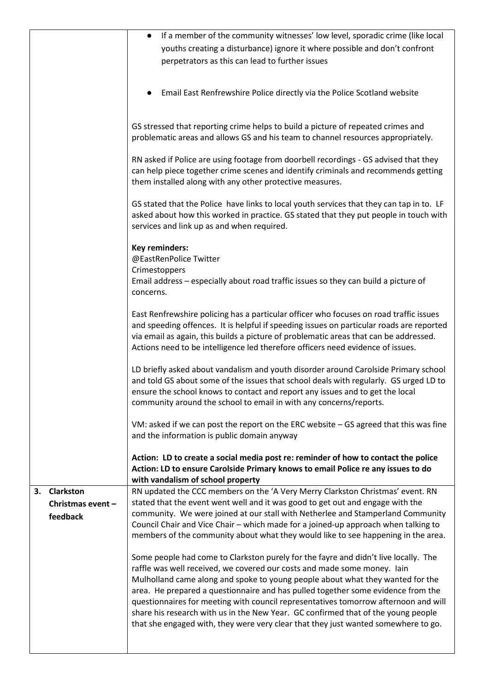|    |                               | If a member of the community witnesses' low level, sporadic crime (like local<br>$\bullet$                                                                                                                                                                                                                                                                                                                                           |
|----|-------------------------------|--------------------------------------------------------------------------------------------------------------------------------------------------------------------------------------------------------------------------------------------------------------------------------------------------------------------------------------------------------------------------------------------------------------------------------------|
|    |                               | youths creating a disturbance) ignore it where possible and don't confront                                                                                                                                                                                                                                                                                                                                                           |
|    |                               | perpetrators as this can lead to further issues                                                                                                                                                                                                                                                                                                                                                                                      |
|    |                               |                                                                                                                                                                                                                                                                                                                                                                                                                                      |
|    |                               | Email East Renfrewshire Police directly via the Police Scotland website                                                                                                                                                                                                                                                                                                                                                              |
|    |                               | GS stressed that reporting crime helps to build a picture of repeated crimes and<br>problematic areas and allows GS and his team to channel resources appropriately.                                                                                                                                                                                                                                                                 |
|    |                               | RN asked if Police are using footage from doorbell recordings - GS advised that they<br>can help piece together crime scenes and identify criminals and recommends getting<br>them installed along with any other protective measures.                                                                                                                                                                                               |
|    |                               | GS stated that the Police have links to local youth services that they can tap in to. LF<br>asked about how this worked in practice. GS stated that they put people in touch with<br>services and link up as and when required.                                                                                                                                                                                                      |
|    |                               | Key reminders:<br>@EastRenPolice Twitter                                                                                                                                                                                                                                                                                                                                                                                             |
|    |                               | Crimestoppers<br>Email address - especially about road traffic issues so they can build a picture of<br>concerns.                                                                                                                                                                                                                                                                                                                    |
|    |                               | East Renfrewshire policing has a particular officer who focuses on road traffic issues<br>and speeding offences. It is helpful if speeding issues on particular roads are reported<br>via email as again, this builds a picture of problematic areas that can be addressed.<br>Actions need to be intelligence led therefore officers need evidence of issues.                                                                       |
|    |                               | LD briefly asked about vandalism and youth disorder around Carolside Primary school<br>and told GS about some of the issues that school deals with regularly. GS urged LD to<br>ensure the school knows to contact and report any issues and to get the local<br>community around the school to email in with any concerns/reports.                                                                                                  |
|    |                               | VM: asked if we can post the report on the ERC website - GS agreed that this was fine<br>and the information is public domain anyway                                                                                                                                                                                                                                                                                                 |
|    |                               | Action: LD to create a social media post re: reminder of how to contact the police<br>Action: LD to ensure Carolside Primary knows to email Police re any issues to do<br>with vandalism of school property                                                                                                                                                                                                                          |
| 3. | <b>Clarkston</b>              | RN updated the CCC members on the 'A Very Merry Clarkston Christmas' event. RN                                                                                                                                                                                                                                                                                                                                                       |
|    | Christmas event -<br>feedback | stated that the event went well and it was good to get out and engage with the<br>community. We were joined at our stall with Netherlee and Stamperland Community<br>Council Chair and Vice Chair - which made for a joined-up approach when talking to<br>members of the community about what they would like to see happening in the area.                                                                                         |
|    |                               | Some people had come to Clarkston purely for the fayre and didn't live locally. The<br>raffle was well received, we covered our costs and made some money. Iain                                                                                                                                                                                                                                                                      |
|    |                               | Mulholland came along and spoke to young people about what they wanted for the<br>area. He prepared a questionnaire and has pulled together some evidence from the<br>questionnaires for meeting with council representatives tomorrow afternoon and will<br>share his research with us in the New Year. GC confirmed that of the young people<br>that she engaged with, they were very clear that they just wanted somewhere to go. |
|    |                               |                                                                                                                                                                                                                                                                                                                                                                                                                                      |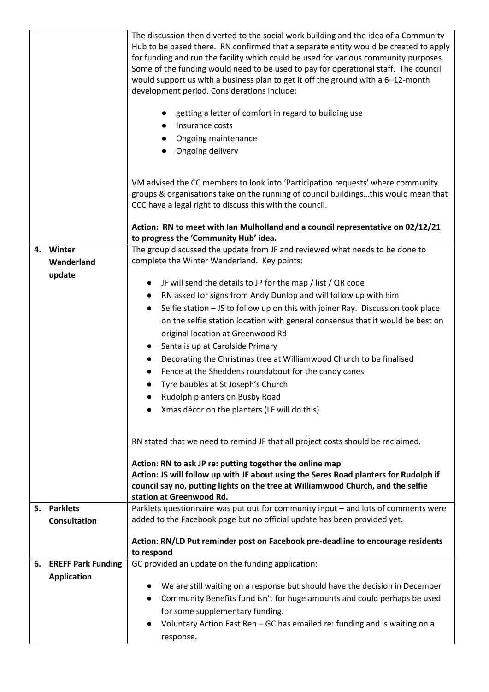|    |                                   | The discussion then diverted to the social work building and the idea of a Community<br>Hub to be based there. RN confirmed that a separate entity would be created to apply<br>for funding and run the facility which could be used for various community purposes.<br>Some of the funding would need to be used to pay for operational staff. The council<br>would support us with a business plan to get it off the ground with a 6-12-month<br>development period. Considerations include:<br>getting a letter of comfort in regard to building use<br>Insurance costs<br>Ongoing maintenance |
|----|-----------------------------------|---------------------------------------------------------------------------------------------------------------------------------------------------------------------------------------------------------------------------------------------------------------------------------------------------------------------------------------------------------------------------------------------------------------------------------------------------------------------------------------------------------------------------------------------------------------------------------------------------|
|    |                                   | Ongoing delivery                                                                                                                                                                                                                                                                                                                                                                                                                                                                                                                                                                                  |
|    |                                   | VM advised the CC members to look into 'Participation requests' where community<br>groups & organisations take on the running of council buildingsthis would mean that<br>CCC have a legal right to discuss this with the council.                                                                                                                                                                                                                                                                                                                                                                |
|    |                                   | Action: RN to meet with Ian Mulholland and a council representative on 02/12/21<br>to progress the 'Community Hub' idea.                                                                                                                                                                                                                                                                                                                                                                                                                                                                          |
|    | 4. Winter<br>Wanderland<br>update | The group discussed the update from JF and reviewed what needs to be done to<br>complete the Winter Wanderland. Key points:                                                                                                                                                                                                                                                                                                                                                                                                                                                                       |
|    |                                   | JF will send the details to JP for the map / list / QR code                                                                                                                                                                                                                                                                                                                                                                                                                                                                                                                                       |
|    |                                   | RN asked for signs from Andy Dunlop and will follow up with him<br>$\bullet$<br>Selfie station - JS to follow up on this with joiner Ray. Discussion took place<br>$\bullet$                                                                                                                                                                                                                                                                                                                                                                                                                      |
|    |                                   | on the selfie station location with general consensus that it would be best on                                                                                                                                                                                                                                                                                                                                                                                                                                                                                                                    |
|    |                                   | original location at Greenwood Rd                                                                                                                                                                                                                                                                                                                                                                                                                                                                                                                                                                 |
|    |                                   | Santa is up at Carolside Primary                                                                                                                                                                                                                                                                                                                                                                                                                                                                                                                                                                  |
|    |                                   | Decorating the Christmas tree at Williamwood Church to be finalised<br>Fence at the Sheddens roundabout for the candy canes                                                                                                                                                                                                                                                                                                                                                                                                                                                                       |
|    |                                   | Tyre baubles at St Joseph's Church                                                                                                                                                                                                                                                                                                                                                                                                                                                                                                                                                                |
|    |                                   | Rudolph planters on Busby Road                                                                                                                                                                                                                                                                                                                                                                                                                                                                                                                                                                    |
|    |                                   | Xmas décor on the planters (LF will do this)                                                                                                                                                                                                                                                                                                                                                                                                                                                                                                                                                      |
|    |                                   |                                                                                                                                                                                                                                                                                                                                                                                                                                                                                                                                                                                                   |
|    |                                   | RN stated that we need to remind JF that all project costs should be reclaimed.                                                                                                                                                                                                                                                                                                                                                                                                                                                                                                                   |
|    |                                   | Action: RN to ask JP re: putting together the online map<br>Action: JS will follow up with JF about using the Seres Road planters for Rudolph if<br>council say no, putting lights on the tree at Williamwood Church, and the selfie<br>station at Greenwood Rd.                                                                                                                                                                                                                                                                                                                                  |
| 5. | <b>Parklets</b>                   | Parklets questionnaire was put out for community input - and lots of comments were                                                                                                                                                                                                                                                                                                                                                                                                                                                                                                                |
|    | <b>Consultation</b>               | added to the Facebook page but no official update has been provided yet.                                                                                                                                                                                                                                                                                                                                                                                                                                                                                                                          |
|    |                                   | Action: RN/LD Put reminder post on Facebook pre-deadline to encourage residents<br>to respond                                                                                                                                                                                                                                                                                                                                                                                                                                                                                                     |
| 6. | <b>EREFF Park Funding</b>         | GC provided an update on the funding application:                                                                                                                                                                                                                                                                                                                                                                                                                                                                                                                                                 |
|    | <b>Application</b>                | We are still waiting on a response but should have the decision in December                                                                                                                                                                                                                                                                                                                                                                                                                                                                                                                       |
|    |                                   | Community Benefits fund isn't for huge amounts and could perhaps be used<br>$\bullet$                                                                                                                                                                                                                                                                                                                                                                                                                                                                                                             |
|    |                                   | for some supplementary funding.                                                                                                                                                                                                                                                                                                                                                                                                                                                                                                                                                                   |
|    |                                   | Voluntary Action East Ren - GC has emailed re: funding and is waiting on a                                                                                                                                                                                                                                                                                                                                                                                                                                                                                                                        |
|    |                                   | response.                                                                                                                                                                                                                                                                                                                                                                                                                                                                                                                                                                                         |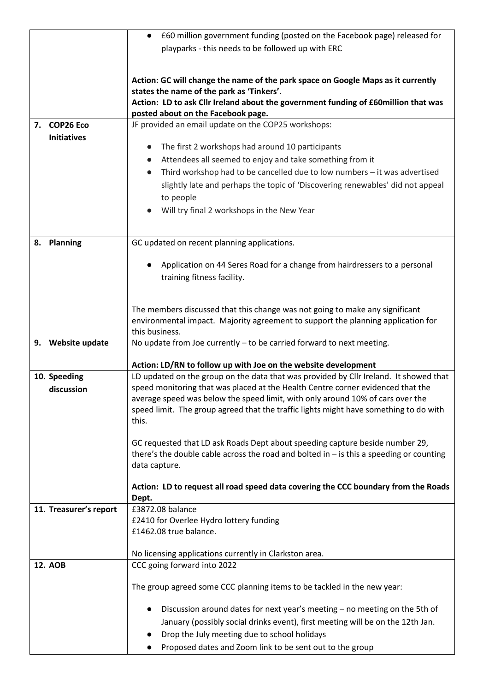|                        | £60 million government funding (posted on the Facebook page) released for                                                                                                |
|------------------------|--------------------------------------------------------------------------------------------------------------------------------------------------------------------------|
|                        | playparks - this needs to be followed up with ERC                                                                                                                        |
|                        |                                                                                                                                                                          |
|                        | Action: GC will change the name of the park space on Google Maps as it currently                                                                                         |
|                        | states the name of the park as 'Tinkers'.                                                                                                                                |
|                        | Action: LD to ask Cllr Ireland about the government funding of £60million that was                                                                                       |
|                        | posted about on the Facebook page.                                                                                                                                       |
| 7. COP26 Eco           | JF provided an email update on the COP25 workshops:                                                                                                                      |
| <b>Initiatives</b>     |                                                                                                                                                                          |
|                        | The first 2 workshops had around 10 participants<br>$\bullet$                                                                                                            |
|                        | Attendees all seemed to enjoy and take something from it                                                                                                                 |
|                        | Third workshop had to be cancelled due to low numbers - it was advertised                                                                                                |
|                        | slightly late and perhaps the topic of 'Discovering renewables' did not appeal                                                                                           |
|                        | to people                                                                                                                                                                |
|                        | Will try final 2 workshops in the New Year<br>$\bullet$                                                                                                                  |
|                        |                                                                                                                                                                          |
|                        |                                                                                                                                                                          |
| 8. Planning            | GC updated on recent planning applications.                                                                                                                              |
|                        |                                                                                                                                                                          |
|                        | Application on 44 Seres Road for a change from hairdressers to a personal                                                                                                |
|                        | training fitness facility.                                                                                                                                               |
|                        |                                                                                                                                                                          |
|                        | The members discussed that this change was not going to make any significant                                                                                             |
|                        | environmental impact. Majority agreement to support the planning application for                                                                                         |
|                        | this business.                                                                                                                                                           |
| 9. Website update      | No update from Joe currently - to be carried forward to next meeting.                                                                                                    |
|                        |                                                                                                                                                                          |
|                        | Action: LD/RN to follow up with Joe on the website development                                                                                                           |
| 10. Speeding           | LD updated on the group on the data that was provided by Cllr Ireland. It showed that<br>speed monitoring that was placed at the Health Centre corner evidenced that the |
| discussion             | average speed was below the speed limit, with only around 10% of cars over the                                                                                           |
|                        | speed limit. The group agreed that the traffic lights might have something to do with                                                                                    |
|                        | this.                                                                                                                                                                    |
|                        |                                                                                                                                                                          |
|                        | GC requested that LD ask Roads Dept about speeding capture beside number 29,                                                                                             |
|                        | there's the double cable across the road and bolted in $-$ is this a speeding or counting                                                                                |
|                        | data capture.                                                                                                                                                            |
|                        |                                                                                                                                                                          |
|                        | Action: LD to request all road speed data covering the CCC boundary from the Roads<br>Dept.                                                                              |
| 11. Treasurer's report | £3872.08 balance                                                                                                                                                         |
|                        | £2410 for Overlee Hydro lottery funding                                                                                                                                  |
|                        | £1462.08 true balance.                                                                                                                                                   |
|                        |                                                                                                                                                                          |
|                        | No licensing applications currently in Clarkston area.                                                                                                                   |
| <b>12. AOB</b>         | CCC going forward into 2022                                                                                                                                              |
|                        |                                                                                                                                                                          |
|                        | The group agreed some CCC planning items to be tackled in the new year:                                                                                                  |
|                        | Discussion around dates for next year's meeting - no meeting on the 5th of                                                                                               |
|                        |                                                                                                                                                                          |
|                        | January (possibly social drinks event), first meeting will be on the 12th Jan.                                                                                           |
|                        | Drop the July meeting due to school holidays                                                                                                                             |
|                        | Proposed dates and Zoom link to be sent out to the group                                                                                                                 |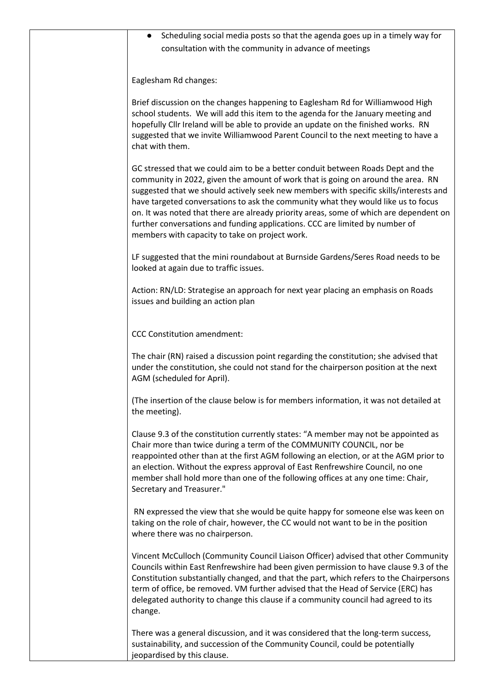| Scheduling social media posts so that the agenda goes up in a timely way for<br>consultation with the community in advance of meetings                                                                                                                                                                                                                                                                                                                                                                                                                                        |
|-------------------------------------------------------------------------------------------------------------------------------------------------------------------------------------------------------------------------------------------------------------------------------------------------------------------------------------------------------------------------------------------------------------------------------------------------------------------------------------------------------------------------------------------------------------------------------|
| Eaglesham Rd changes:                                                                                                                                                                                                                                                                                                                                                                                                                                                                                                                                                         |
| Brief discussion on the changes happening to Eaglesham Rd for Williamwood High<br>school students. We will add this item to the agenda for the January meeting and<br>hopefully Cllr Ireland will be able to provide an update on the finished works. RN<br>suggested that we invite Williamwood Parent Council to the next meeting to have a<br>chat with them.                                                                                                                                                                                                              |
| GC stressed that we could aim to be a better conduit between Roads Dept and the<br>community in 2022, given the amount of work that is going on around the area. RN<br>suggested that we should actively seek new members with specific skills/interests and<br>have targeted conversations to ask the community what they would like us to focus<br>on. It was noted that there are already priority areas, some of which are dependent on<br>further conversations and funding applications. CCC are limited by number of<br>members with capacity to take on project work. |
| LF suggested that the mini roundabout at Burnside Gardens/Seres Road needs to be<br>looked at again due to traffic issues.                                                                                                                                                                                                                                                                                                                                                                                                                                                    |
| Action: RN/LD: Strategise an approach for next year placing an emphasis on Roads<br>issues and building an action plan                                                                                                                                                                                                                                                                                                                                                                                                                                                        |
| <b>CCC Constitution amendment:</b>                                                                                                                                                                                                                                                                                                                                                                                                                                                                                                                                            |
| The chair (RN) raised a discussion point regarding the constitution; she advised that<br>under the constitution, she could not stand for the chairperson position at the next<br>AGM (scheduled for April).                                                                                                                                                                                                                                                                                                                                                                   |
| (The insertion of the clause below is for members information, it was not detailed at<br>the meeting).                                                                                                                                                                                                                                                                                                                                                                                                                                                                        |
| Clause 9.3 of the constitution currently states: "A member may not be appointed as<br>Chair more than twice during a term of the COMMUNITY COUNCIL, nor be<br>reappointed other than at the first AGM following an election, or at the AGM prior to<br>an election. Without the express approval of East Renfrewshire Council, no one<br>member shall hold more than one of the following offices at any one time: Chair,<br>Secretary and Treasurer."                                                                                                                        |
| RN expressed the view that she would be quite happy for someone else was keen on<br>taking on the role of chair, however, the CC would not want to be in the position<br>where there was no chairperson.                                                                                                                                                                                                                                                                                                                                                                      |
| Vincent McCulloch (Community Council Liaison Officer) advised that other Community<br>Councils within East Renfrewshire had been given permission to have clause 9.3 of the<br>Constitution substantially changed, and that the part, which refers to the Chairpersons<br>term of office, be removed. VM further advised that the Head of Service (ERC) has<br>delegated authority to change this clause if a community council had agreed to its<br>change.                                                                                                                  |
| There was a general discussion, and it was considered that the long-term success,<br>sustainability, and succession of the Community Council, could be potentially<br>jeopardised by this clause.                                                                                                                                                                                                                                                                                                                                                                             |